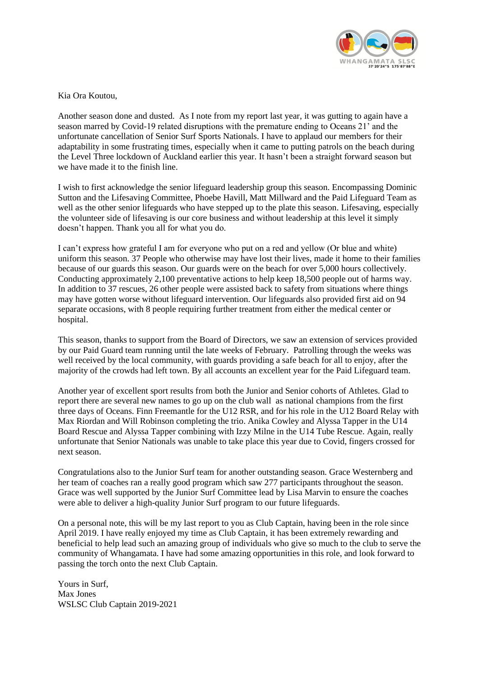

Kia Ora Koutou,

Another season done and dusted. As I note from my report last year, it was gutting to again have a season marred by Covid-19 related disruptions with the premature ending to Oceans 21' and the unfortunate cancellation of Senior Surf Sports Nationals. I have to applaud our members for their adaptability in some frustrating times, especially when it came to putting patrols on the beach during the Level Three lockdown of Auckland earlier this year. It hasn't been a straight forward season but we have made it to the finish line.

I wish to first acknowledge the senior lifeguard leadership group this season. Encompassing Dominic Sutton and the Lifesaving Committee, Phoebe Havill, Matt Millward and the Paid Lifeguard Team as well as the other senior lifeguards who have stepped up to the plate this season. Lifesaving, especially the volunteer side of lifesaving is our core business and without leadership at this level it simply doesn't happen. Thank you all for what you do.

I can't express how grateful I am for everyone who put on a red and yellow (Or blue and white) uniform this season. 37 People who otherwise may have lost their lives, made it home to their families because of our guards this season. Our guards were on the beach for over 5,000 hours collectively. Conducting approximately 2,100 preventative actions to help keep 18,500 people out of harms way. In addition to 37 rescues, 26 other people were assisted back to safety from situations where things may have gotten worse without lifeguard intervention. Our lifeguards also provided first aid on 94 separate occasions, with 8 people requiring further treatment from either the medical center or hospital.

This season, thanks to support from the Board of Directors, we saw an extension of services provided by our Paid Guard team running until the late weeks of February. Patrolling through the weeks was well received by the local community, with guards providing a safe beach for all to enjoy, after the majority of the crowds had left town. By all accounts an excellent year for the Paid Lifeguard team.

Another year of excellent sport results from both the Junior and Senior cohorts of Athletes. Glad to report there are several new names to go up on the club wall as national champions from the first three days of Oceans. Finn Freemantle for the U12 RSR, and for his role in the U12 Board Relay with Max Riordan and Will Robinson completing the trio. Anika Cowley and Alyssa Tapper in the U14 Board Rescue and Alyssa Tapper combining with Izzy Milne in the U14 Tube Rescue. Again, really unfortunate that Senior Nationals was unable to take place this year due to Covid, fingers crossed for next season.

Congratulations also to the Junior Surf team for another outstanding season. Grace Westernberg and her team of coaches ran a really good program which saw 277 participants throughout the season. Grace was well supported by the Junior Surf Committee lead by Lisa Marvin to ensure the coaches were able to deliver a high-quality Junior Surf program to our future lifeguards.

On a personal note, this will be my last report to you as Club Captain, having been in the role since April 2019. I have really enjoyed my time as Club Captain, it has been extremely rewarding and beneficial to help lead such an amazing group of individuals who give so much to the club to serve the community of Whangamata. I have had some amazing opportunities in this role, and look forward to passing the torch onto the next Club Captain.

Yours in Surf, Max Jones WSLSC Club Captain 2019-2021